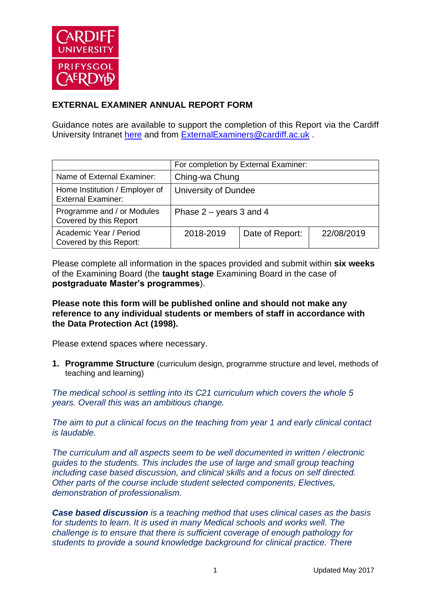

# **EXTERNAL EXAMINER ANNUAL REPORT FORM**

Guidance notes are available to support the completion of this Report via the Cardiff University Intranet [here](https://intranet.cardiff.ac.uk/staff/teaching-and-supporting-students/exams-and-assessment/exam-boards-and-external-examiners/for-current-external-examiners/external-examiners-reports) and from [ExternalExaminers@cardiff.ac.uk](mailto:ExternalExaminers@cardiff.ac.uk) .

|                                                             | For completion by External Examiner: |                 |            |  |
|-------------------------------------------------------------|--------------------------------------|-----------------|------------|--|
| Name of External Examiner:                                  | Ching-wa Chung                       |                 |            |  |
| Home Institution / Employer of<br><b>External Examiner:</b> | University of Dundee                 |                 |            |  |
| Programme and / or Modules<br>Covered by this Report        | Phase $2 -$ years 3 and 4            |                 |            |  |
| Academic Year / Period<br>Covered by this Report:           | 2018-2019                            | Date of Report: | 22/08/2019 |  |

Please complete all information in the spaces provided and submit within **six weeks** of the Examining Board (the **taught stage** Examining Board in the case of **postgraduate Master's programmes**).

# **Please note this form will be published online and should not make any reference to any individual students or members of staff in accordance with the Data Protection Act (1998).**

Please extend spaces where necessary.

**1. Programme Structure** (curriculum design, programme structure and level, methods of teaching and learning)

*The medical school is settling into its C21 curriculum which covers the whole 5 years. Overall this was an ambitious change.* 

*The aim to put a clinical focus on the teaching from year 1 and early clinical contact is laudable.*

*The curriculum and all aspects seem to be well documented in written / electronic guides to the students. This includes the use of large and small group teaching including case based discussion, and clinical skills and a focus on self directed. Other parts of the course include student selected components, Electives, demonstration of professionalism.*

*Case based discussion is a teaching method that uses clinical cases as the basis for students to learn. It is used in many Medical schools and works well. The challenge is to ensure that there is sufficient coverage of enough pathology for students to provide a sound knowledge background for clinical practice. There*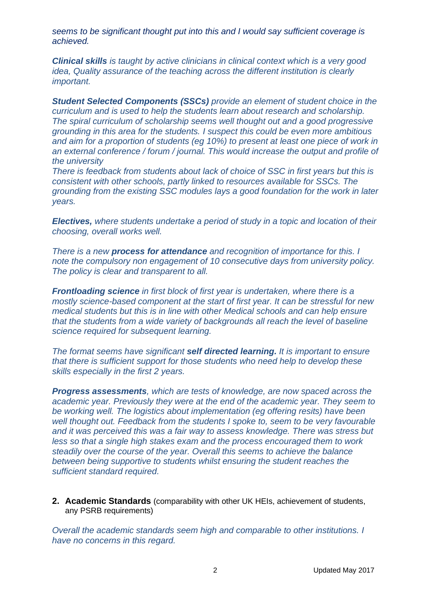*seems to be significant thought put into this and I would say sufficient coverage is achieved.* 

*Clinical skills is taught by active clinicians in clinical context which is a very good idea, Quality assurance of the teaching across the different institution is clearly important.* 

*Student Selected Components (SSCs) provide an element of student choice in the curriculum and is used to help the students learn about research and scholarship. The spiral curriculum of scholarship seems well thought out and a good progressive grounding in this area for the students. I suspect this could be even more ambitious and aim for a proportion of students (eg 10%) to present at least one piece of work in an external conference / forum / journal. This would increase the output and profile of the university*

*There is feedback from students about lack of choice of SSC in first years but this is consistent with other schools, partly linked to resources available for SSCs. The grounding from the existing SSC modules lays a good foundation for the work in later years.* 

*Electives, where students undertake a period of study in a topic and location of their choosing, overall works well.*

*There is a new process for attendance and recognition of importance for this. I note the compulsory non engagement of 10 consecutive days from university policy. The policy is clear and transparent to all.* 

*Frontloading science in first block of first year is undertaken, where there is a mostly science-based component at the start of first year. It can be stressful for new medical students but this is in line with other Medical schools and can help ensure that the students from a wide variety of backgrounds all reach the level of baseline science required for subsequent learning.* 

*The format seems have significant self directed learning. It is important to ensure that there is sufficient support for those students who need help to develop these skills especially in the first 2 years.*

*Progress assessments, which are tests of knowledge, are now spaced across the academic year. Previously they were at the end of the academic year. They seem to be working well. The logistics about implementation (eg offering resits) have been well thought out. Feedback from the students I spoke to, seem to be very favourable and it was perceived this was a fair way to assess knowledge. There was stress but less so that a single high stakes exam and the process encouraged them to work steadily over the course of the year. Overall this seems to achieve the balance between being supportive to students whilst ensuring the student reaches the sufficient standard required.*

**2. Academic Standards** (comparability with other UK HEIs, achievement of students, any PSRB requirements)

*Overall the academic standards seem high and comparable to other institutions. I have no concerns in this regard.*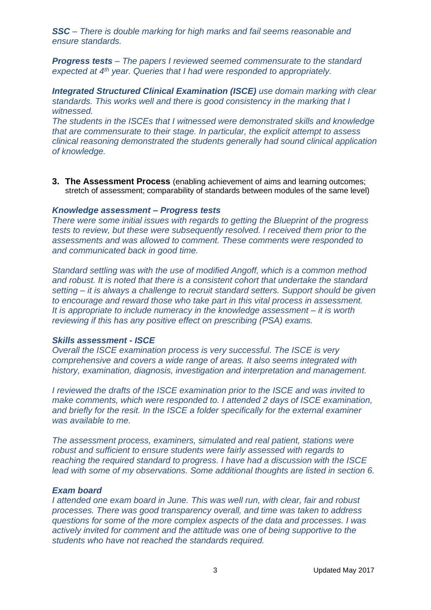*SSC – There is double marking for high marks and fail seems reasonable and ensure standards.* 

*Progress tests – The papers I reviewed seemed commensurate to the standard expected at 4th year. Queries that I had were responded to appropriately.* 

*Integrated Structured Clinical Examination (ISCE) use domain marking with clear standards. This works well and there is good consistency in the marking that I witnessed.*

*The students in the ISCEs that I witnessed were demonstrated skills and knowledge that are commensurate to their stage. In particular, the explicit attempt to assess clinical reasoning demonstrated the students generally had sound clinical application of knowledge.* 

**3. The Assessment Process** (enabling achievement of aims and learning outcomes; stretch of assessment; comparability of standards between modules of the same level)

#### *Knowledge assessment – Progress tests*

*There were some initial issues with regards to getting the Blueprint of the progress tests to review, but these were subsequently resolved. I received them prior to the assessments and was allowed to comment. These comments were responded to and communicated back in good time.* 

*Standard settling was with the use of modified Angoff, which is a common method and robust. It is noted that there is a consistent cohort that undertake the standard setting – it is always a challenge to recruit standard setters. Support should be given to encourage and reward those who take part in this vital process in assessment. It is appropriate to include numeracy in the knowledge assessment – it is worth reviewing if this has any positive effect on prescribing (PSA) exams.*

### *Skills assessment - ISCE*

*Overall the ISCE examination process is very successful. The ISCE is very comprehensive and covers a wide range of areas. It also seems integrated with history, examination, diagnosis, investigation and interpretation and management.* 

*I reviewed the drafts of the ISCE examination prior to the ISCE and was invited to make comments, which were responded to. I attended 2 days of ISCE examination, and briefly for the resit. In the ISCE a folder specifically for the external examiner was available to me.* 

*The assessment process, examiners, simulated and real patient, stations were robust and sufficient to ensure students were fairly assessed with regards to reaching the required standard to progress. I have had a discussion with the ISCE lead with some of my observations. Some additional thoughts are listed in section 6.*

# *Exam board*

*I attended one exam board in June. This was well run, with clear, fair and robust processes. There was good transparency overall, and time was taken to address questions for some of the more complex aspects of the data and processes. I was actively invited for comment and the attitude was one of being supportive to the students who have not reached the standards required.*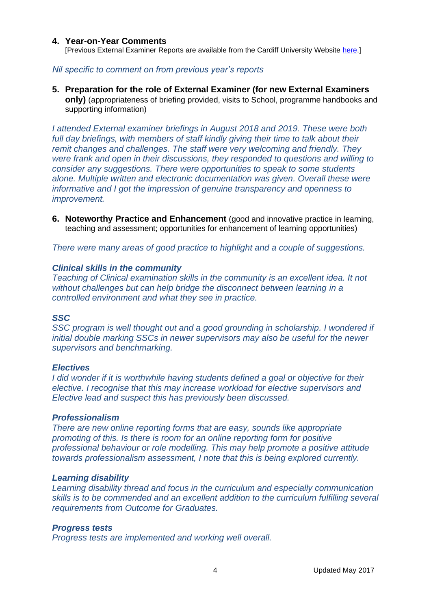#### **4. Year-on-Year Comments**

[Previous External Examiner Reports are available from the Cardiff University Website [here.](https://www.cardiff.ac.uk/public-information/quality-and-standards/external-examiner-reports)]

## *Nil specific to comment on from previous year's reports*

**5. Preparation for the role of External Examiner (for new External Examiners only)** (appropriateness of briefing provided, visits to School, programme handbooks and supporting information)

*I attended External examiner briefings in August 2018 and 2019. These were both*  full day briefings, with members of staff kindly giving their time to talk about their *remit changes and challenges. The staff were very welcoming and friendly. They were frank and open in their discussions, they responded to questions and willing to consider any suggestions. There were opportunities to speak to some students alone. Multiple written and electronic documentation was given. Overall these were informative and I got the impression of genuine transparency and openness to improvement.*

**6. Noteworthy Practice and Enhancement** (good and innovative practice in learning, teaching and assessment; opportunities for enhancement of learning opportunities)

*There were many areas of good practice to highlight and a couple of suggestions.* 

### *Clinical skills in the community*

*Teaching of Clinical examination skills in the community is an excellent idea. It not without challenges but can help bridge the disconnect between learning in a controlled environment and what they see in practice.*

### *SSC*

*SSC program is well thought out and a good grounding in scholarship. I wondered if initial double marking SSCs in newer supervisors may also be useful for the newer supervisors and benchmarking.* 

### *Electives*

*I did wonder if it is worthwhile having students defined a goal or objective for their elective. I recognise that this may increase workload for elective supervisors and Elective lead and suspect this has previously been discussed.* 

#### *Professionalism*

*There are new online reporting forms that are easy, sounds like appropriate promoting of this. Is there is room for an online reporting form for positive professional behaviour or role modelling. This may help promote a positive attitude towards professionalism assessment, I note that this is being explored currently.*

### *Learning disability*

*Learning disability thread and focus in the curriculum and especially communication skills is to be commended and an excellent addition to the curriculum fulfilling several requirements from Outcome for Graduates.*

### *Progress tests*

*Progress tests are implemented and working well overall.*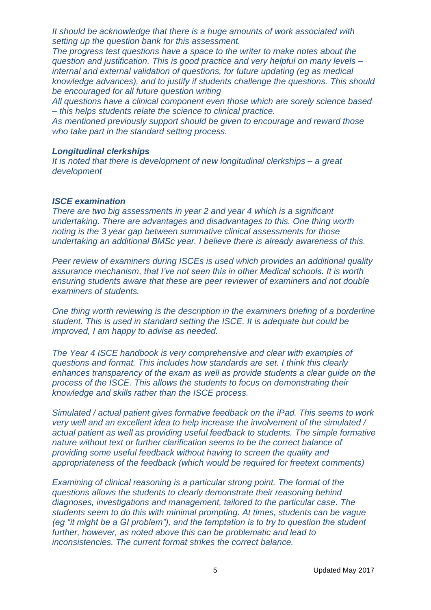*It should be acknowledge that there is a huge amounts of work associated with setting up the question bank for this assessment.* 

*The progress test questions have a space to the writer to make notes about the question and justification. This is good practice and very helpful on many levels – internal and external validation of questions, for future updating (eg as medical knowledge advances), and to justify if students challenge the questions. This should be encouraged for all future question writing*

*All questions have a clinical component even those which are sorely science based – this helps students relate the science to clinical practice.*

*As mentioned previously support should be given to encourage and reward those who take part in the standard setting process.*

### *Longitudinal clerkships*

*It is noted that there is development of new longitudinal clerkships – a great development*

#### *ISCE examination*

*There are two big assessments in year 2 and year 4 which is a significant undertaking. There are advantages and disadvantages to this. One thing worth noting is the 3 year gap between summative clinical assessments for those undertaking an additional BMSc year. I believe there is already awareness of this.* 

*Peer review of examiners during ISCEs is used which provides an additional quality assurance mechanism, that I've not seen this in other Medical schools. It is worth ensuring students aware that these are peer reviewer of examiners and not double examiners of students.*

*One thing worth reviewing is the description in the examiners briefing of a borderline student. This is used in standard setting the ISCE. It is adequate but could be improved, I am happy to advise as needed.*

*The Year 4 ISCE handbook is very comprehensive and clear with examples of questions and format. This includes how standards are set. I think this clearly enhances transparency of the exam as well as provide students a clear guide on the process of the ISCE. This allows the students to focus on demonstrating their knowledge and skills rather than the ISCE process.*

*Simulated / actual patient gives formative feedback on the iPad. This seems to work very well and an excellent idea to help increase the involvement of the simulated / actual patient as well as providing useful feedback to students. The simple formative nature without text or further clarification seems to be the correct balance of providing some useful feedback without having to screen the quality and appropriateness of the feedback (which would be required for freetext comments)* 

*Examining of clinical reasoning is a particular strong point. The format of the questions allows the students to clearly demonstrate their reasoning behind diagnoses, investigations and management, tailored to the particular case. The students seem to do this with minimal prompting. At times, students can be vague (eg "it might be a GI problem"), and the temptation is to try to question the student further, however, as noted above this can be problematic and lead to inconsistencies. The current format strikes the correct balance.*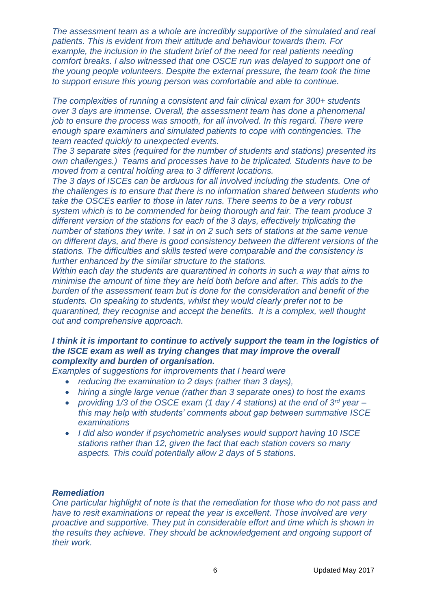*The assessment team as a whole are incredibly supportive of the simulated and real patients. This is evident from their attitude and behaviour towards them. For example, the inclusion in the student brief of the need for real patients needing comfort breaks. I also witnessed that one OSCE run was delayed to support one of the young people volunteers. Despite the external pressure, the team took the time to support ensure this young person was comfortable and able to continue.* 

*The complexities of running a consistent and fair clinical exam for 300+ students over 3 days are immense. Overall, the assessment team has done a phenomenal job to ensure the process was smooth, for all involved. In this regard. There were enough spare examiners and simulated patients to cope with contingencies. The team reacted quickly to unexpected events.*

*The 3 separate sites (required for the number of students and stations) presented its own challenges.) Teams and processes have to be triplicated. Students have to be moved from a central holding area to 3 different locations.* 

*The 3 days of ISCEs can be arduous for all involved including the students. One of the challenges is to ensure that there is no information shared between students who take the OSCEs earlier to those in later runs. There seems to be a very robust system which is to be commended for being thorough and fair. The team produce 3 different version of the stations for each of the 3 days, effectively triplicating the number of stations they write. I sat in on 2 such sets of stations at the same venue on different days, and there is good consistency between the different versions of the stations. The difficulties and skills tested were comparable and the consistency is further enhanced by the similar structure to the stations.* 

*Within each day the students are quarantined in cohorts in such a way that aims to minimise the amount of time they are held both before and after. This adds to the burden of the assessment team but is done for the consideration and benefit of the students. On speaking to students, whilst they would clearly prefer not to be quarantined, they recognise and accept the benefits. It is a complex, well thought out and comprehensive approach.* 

# *I think it is important to continue to actively support the team in the logistics of the ISCE exam as well as trying changes that may improve the overall complexity and burden of organisation.*

*Examples of suggestions for improvements that I heard were* 

- *reducing the examination to 2 days (rather than 3 days),*
- *hiring a single large venue (rather than 3 separate ones) to host the exams*
- *providing 1/3 of the OSCE exam (1 day / 4 stations) at the end of 3rd year – this may help with students' comments about gap between summative ISCE examinations*
- *I did also wonder if psychometric analyses would support having 10 ISCE stations rather than 12, given the fact that each station covers so many aspects. This could potentially allow 2 days of 5 stations.*

### *Remediation*

*One particular highlight of note is that the remediation for those who do not pass and have to resit examinations or repeat the year is excellent. Those involved are very proactive and supportive. They put in considerable effort and time which is shown in the results they achieve. They should be acknowledgement and ongoing support of their work.*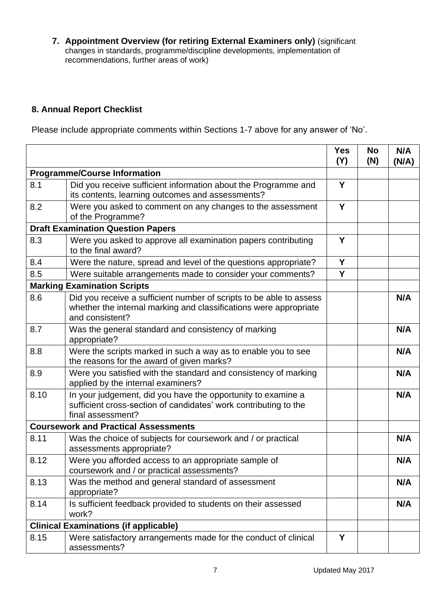**7. Appointment Overview (for retiring External Examiners only)** (significant changes in standards, programme/discipline developments, implementation of recommendations, further areas of work)

# **8. Annual Report Checklist**

Please include appropriate comments within Sections 1-7 above for any answer of 'No'.

|                                              |                                                                                                                                                             | <b>Yes</b><br>(Y) | No<br>(N) | N/A<br>(N/A) |
|----------------------------------------------|-------------------------------------------------------------------------------------------------------------------------------------------------------------|-------------------|-----------|--------------|
| <b>Programme/Course Information</b>          |                                                                                                                                                             |                   |           |              |
| 8.1                                          | Did you receive sufficient information about the Programme and<br>its contents, learning outcomes and assessments?                                          | Y                 |           |              |
| 8.2                                          | Were you asked to comment on any changes to the assessment<br>of the Programme?                                                                             | Y                 |           |              |
| <b>Draft Examination Question Papers</b>     |                                                                                                                                                             |                   |           |              |
| 8.3                                          | Were you asked to approve all examination papers contributing<br>to the final award?                                                                        | Y                 |           |              |
| 8.4                                          | Were the nature, spread and level of the questions appropriate?                                                                                             | Y                 |           |              |
| 8.5                                          | Were suitable arrangements made to consider your comments?                                                                                                  | Y                 |           |              |
|                                              | <b>Marking Examination Scripts</b>                                                                                                                          |                   |           |              |
| 8.6                                          | Did you receive a sufficient number of scripts to be able to assess<br>whether the internal marking and classifications were appropriate<br>and consistent? |                   |           | N/A          |
| 8.7                                          | Was the general standard and consistency of marking<br>appropriate?                                                                                         |                   |           | N/A          |
| 8.8                                          | Were the scripts marked in such a way as to enable you to see<br>the reasons for the award of given marks?                                                  |                   |           | N/A          |
| 8.9                                          | Were you satisfied with the standard and consistency of marking<br>applied by the internal examiners?                                                       |                   |           | N/A          |
| 8.10                                         | In your judgement, did you have the opportunity to examine a<br>sufficient cross-section of candidates' work contributing to the<br>final assessment?       |                   |           | N/A          |
| <b>Coursework and Practical Assessments</b>  |                                                                                                                                                             |                   |           |              |
| 8.11                                         | Was the choice of subjects for coursework and / or practical<br>assessments appropriate?                                                                    |                   |           | N/A          |
| 8.12                                         | Were you afforded access to an appropriate sample of<br>coursework and / or practical assessments?                                                          |                   |           | N/A          |
| 8.13                                         | Was the method and general standard of assessment<br>appropriate?                                                                                           |                   |           | N/A          |
| 8.14                                         | Is sufficient feedback provided to students on their assessed<br>work?                                                                                      |                   |           | N/A          |
| <b>Clinical Examinations (if applicable)</b> |                                                                                                                                                             |                   |           |              |
| 8.15                                         | Were satisfactory arrangements made for the conduct of clinical<br>assessments?                                                                             | Y                 |           |              |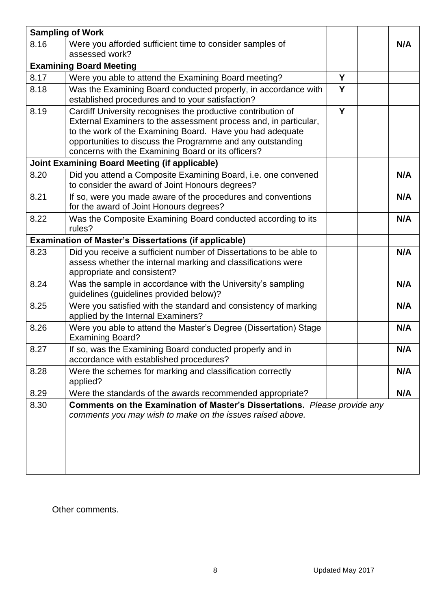|                                | <b>Sampling of Work</b>                                                                                                                                                                                                                                                                                           |   |     |  |  |
|--------------------------------|-------------------------------------------------------------------------------------------------------------------------------------------------------------------------------------------------------------------------------------------------------------------------------------------------------------------|---|-----|--|--|
| 8.16                           | Were you afforded sufficient time to consider samples of<br>assessed work?                                                                                                                                                                                                                                        |   | N/A |  |  |
| <b>Examining Board Meeting</b> |                                                                                                                                                                                                                                                                                                                   |   |     |  |  |
| 8.17                           | Were you able to attend the Examining Board meeting?                                                                                                                                                                                                                                                              | Y |     |  |  |
| 8.18                           | Was the Examining Board conducted properly, in accordance with<br>established procedures and to your satisfaction?                                                                                                                                                                                                | Y |     |  |  |
| 8.19                           | Cardiff University recognises the productive contribution of<br>External Examiners to the assessment process and, in particular,<br>to the work of the Examining Board. Have you had adequate<br>opportunities to discuss the Programme and any outstanding<br>concerns with the Examining Board or its officers? | Y |     |  |  |
|                                | <b>Joint Examining Board Meeting (if applicable)</b>                                                                                                                                                                                                                                                              |   |     |  |  |
| 8.20                           | Did you attend a Composite Examining Board, i.e. one convened<br>to consider the award of Joint Honours degrees?                                                                                                                                                                                                  |   | N/A |  |  |
| 8.21                           | If so, were you made aware of the procedures and conventions<br>for the award of Joint Honours degrees?                                                                                                                                                                                                           |   | N/A |  |  |
| 8.22                           | Was the Composite Examining Board conducted according to its<br>rules?                                                                                                                                                                                                                                            |   | N/A |  |  |
|                                | <b>Examination of Master's Dissertations (if applicable)</b>                                                                                                                                                                                                                                                      |   |     |  |  |
| 8.23                           | Did you receive a sufficient number of Dissertations to be able to<br>assess whether the internal marking and classifications were<br>appropriate and consistent?                                                                                                                                                 |   | N/A |  |  |
| 8.24                           | Was the sample in accordance with the University's sampling<br>guidelines (guidelines provided below)?                                                                                                                                                                                                            |   | N/A |  |  |
| 8.25                           | Were you satisfied with the standard and consistency of marking<br>applied by the Internal Examiners?                                                                                                                                                                                                             |   | N/A |  |  |
| 8.26                           | Were you able to attend the Master's Degree (Dissertation) Stage<br><b>Examining Board?</b>                                                                                                                                                                                                                       |   | N/A |  |  |
| 8.27                           | If so, was the Examining Board conducted properly and in<br>accordance with established procedures?                                                                                                                                                                                                               |   | N/A |  |  |
| 8.28                           | Were the schemes for marking and classification correctly<br>applied?                                                                                                                                                                                                                                             |   | N/A |  |  |
| 8.29                           | Were the standards of the awards recommended appropriate?                                                                                                                                                                                                                                                         |   | N/A |  |  |
| 8.30                           | Comments on the Examination of Master's Dissertations. Please provide any<br>comments you may wish to make on the issues raised above.                                                                                                                                                                            |   |     |  |  |

Other comments.